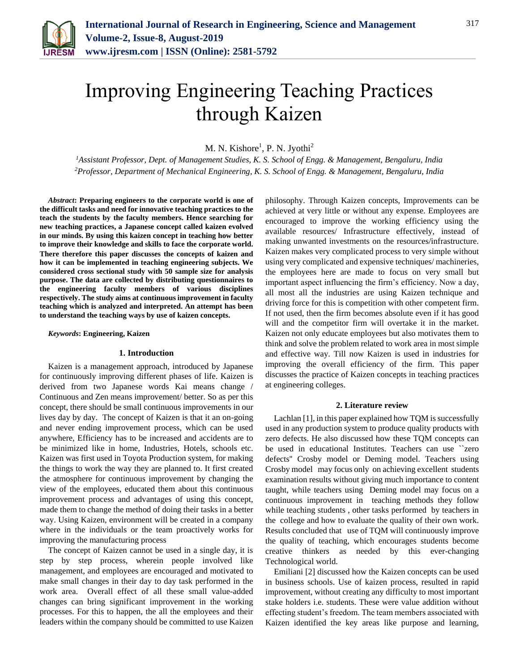

# Improving Engineering Teaching Practices through Kaizen

M. N. Kishore<sup>1</sup>, P. N. Jyothi<sup>2</sup>

*<sup>1</sup>Assistant Professor, Dept. of Management Studies, K. S. School of Engg. & Management, Bengaluru, India <sup>2</sup>Professor, Department of Mechanical Engineering, K. S. School of Engg. & Management, Bengaluru, India*

*Abstract***: Preparing engineers to the corporate world is one of the difficult tasks and need for innovative teaching practices to the teach the students by the faculty members. Hence searching for new teaching practices, a Japanese concept called kaizen evolved in our minds. By using this kaizen concept in teaching how better to improve their knowledge and skills to face the corporate world. There therefore this paper discusses the concepts of kaizen and how it can be implemented in teaching engineering subjects. We considered cross sectional study with 50 sample size for analysis purpose. The data are collected by distributing questionnaires to the engineering faculty members of various disciplines respectively. The study aims at continuous improvement in faculty teaching which is analyzed and interpreted. An attempt has been to understand the teaching ways by use of kaizen concepts.** 

*Keywords***: Engineering, Kaizen** 

#### **1. Introduction**

Kaizen is a management approach, introduced by Japanese for continuously improving different phases of life. Kaizen is derived from two Japanese words Kai means change / Continuous and Zen means improvement/ better. So as per this concept, there should be small continuous improvements in our lives day by day. The concept of Kaizen is that it an on-going and never ending improvement process, which can be used anywhere, Efficiency has to be increased and accidents are to be minimized like in home, Industries, Hotels, schools etc. Kaizen was first used in Toyota Production system, for making the things to work the way they are planned to. It first created the atmosphere for continuous improvement by changing the view of the employees, educated them about this continuous improvement process and advantages of using this concept, made them to change the method of doing their tasks in a better way. Using Kaizen, environment will be created in a company where in the individuals or the team proactively works for improving the manufacturing process

The concept of Kaizen cannot be used in a single day, it is step by step process, wherein people involved like management, and employees are encouraged and motivated to make small changes in their day to day task performed in the work area. Overall effect of all these small value-added changes can bring significant improvement in the working processes. For this to happen, the all the employees and their leaders within the company should be committed to use Kaizen philosophy. Through Kaizen concepts, Improvements can be achieved at very little or without any expense. Employees are encouraged to improve the working efficiency using the available resources/ Infrastructure effectively, instead of making unwanted investments on the resources/infrastructure. Kaizen makes very complicated process to very simple without using very complicated and expensive techniques/ machineries, the employees here are made to focus on very small but important aspect influencing the firm's efficiency. Now a day, all most all the industries are using Kaizen technique and driving force for this is competition with other competent firm. If not used, then the firm becomes absolute even if it has good will and the competitor firm will overtake it in the market. Kaizen not only educate employees but also motivates them to think and solve the problem related to work area in most simple and effective way. Till now Kaizen is used in industries for improving the overall efficiency of the firm. This paper discusses the practice of Kaizen concepts in teaching practices at engineering colleges.

### **2. Literature review**

Lachlan [1], in this paper explained how TQM is successfully used in any production system to produce quality products with zero defects. He also discussed how these TQM concepts can be used in educational Institutes. Teachers can use ``zero defects'' Crosby model or Deming model. Teachers using Crosby model may focus only on achieving excellent students examination results without giving much importance to content taught, while teachers using Deming model may focus on a continuous improvement in teaching methods they follow while teaching students , other tasks performed by teachers in the college and how to evaluate the quality of their own work. Results concluded that use of TQM will continuously improve the quality of teaching, which encourages students become creative thinkers as needed by this ever-changing Technological world.

Emiliani [2] discussed how the Kaizen concepts can be used in business schools. Use of kaizen process, resulted in rapid improvement, without creating any difficulty to most important stake holders i.e. students. These were value addition without effecting student's freedom. The team members associated with Kaizen identified the key areas like purpose and learning,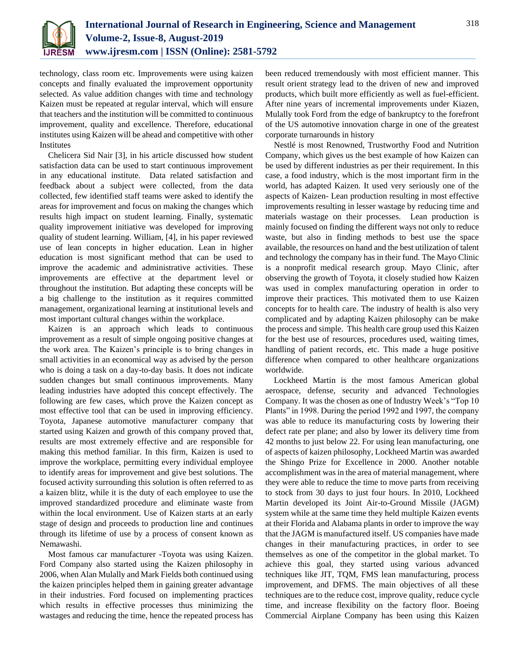

technology, class room etc. Improvements were using kaizen concepts and finally evaluated the improvement opportunity selected. As value addition changes with time and technology Kaizen must be repeated at regular interval, which will ensure that teachers and the institution will be committed to continuous improvement, quality and excellence. Therefore, educational institutes using Kaizen will be ahead and competitive with other Institutes

Chelicera Sid Nair [3], in his article discussed how student satisfaction data can be used to start continuous improvement in any educational institute. Data related satisfaction and feedback about a subject were collected, from the data collected, few identified staff teams were asked to identify the areas for improvement and focus on making the changes which results high impact on student learning. Finally, systematic quality improvement initiative was developed for improving quality of student learning. William, [4], in his paper reviewed use of lean concepts in higher education. Lean in higher education is most significant method that can be used to improve the academic and administrative activities. These improvements are effective at the department level or throughout the institution. But adapting these concepts will be a big challenge to the institution as it requires committed management, organizational learning at institutional levels and most important cultural changes within the workplace.

Kaizen is an approach which leads to continuous improvement as a result of simple ongoing positive changes at the work area. The Kaizen's principle is to bring changes in small activities in an economical way as advised by the person who is doing a task on a day-to-day basis. It does not indicate sudden changes but small continuous improvements. Many leading industries have adopted this concept effectively. The following are few cases, which prove the Kaizen concept as most effective tool that can be used in improving efficiency. Toyota, Japanese automotive manufacturer company that started using Kaizen and growth of this company proved that, results are most extremely effective and are responsible for making this method familiar. In this firm, Kaizen is used to improve the workplace, permitting every individual employee to identify areas for improvement and give best solutions. The focused activity surrounding this solution is often referred to as a kaizen blitz, while it is the duty of each employee to use the improved standardized procedure and eliminate waste from within the local environment. Use of Kaizen starts at an early stage of design and proceeds to production line and continues through its lifetime of use by a process of consent known as Nemawashi.

Most famous car manufacturer -Toyota was using Kaizen. Ford Company also started using the Kaizen philosophy in 2006, when Alan Mulally and Mark Fields both continued using the kaizen principles helped them in gaining greater advantage in their industries. Ford focused on implementing practices which results in effective processes thus minimizing the wastages and reducing the time, hence the repeated process has

been reduced tremendously with most efficient manner. This result orient strategy lead to the driven of new and improved products, which built more efficiently as well as fuel-efficient. After nine years of incremental improvements under Kiazen, Mulally took Ford from the edge of bankruptcy to the forefront of the US automotive innovation charge in one of the greatest corporate turnarounds in history

Nestlé is most Renowned, Trustworthy Food and Nutrition Company, which gives us the best example of how Kaizen can be used by different industries as per their requirement. In this case, a food industry, which is the most important firm in the world, has adapted Kaizen. It used very seriously one of the aspects of Kaizen- Lean production resulting in most effective improvements resulting in lesser wastage by reducing time and materials wastage on their processes. Lean production is mainly focused on finding the different ways not only to reduce waste, but also in finding methods to best use the space available, the resources on hand and the best utilization of talent and technology the company has in their fund. The Mayo Clinic is a nonprofit medical research group. Mayo Clinic, after observing the growth of Toyota, it closely studied how Kaizen was used in complex manufacturing operation in order to improve their practices. This motivated them to use Kaizen concepts for to health care. The industry of health is also very complicated and by adapting Kaizen philosophy can be make the process and simple. This health care group used this Kaizen for the best use of resources, procedures used, waiting times, handling of patient records, etc. This made a huge positive difference when compared to other healthcare organizations worldwide.

Lockheed Martin is the most famous American global aerospace, defense, security and advanced Technologies Company. It was the chosen as one of Industry Week's "Top 10 Plants" in 1998. During the period 1992 and 1997, the company was able to reduce its manufacturing costs by lowering their defect rate per plane; and also by lower its delivery time from 42 months to just below 22. For using lean manufacturing, one of aspects of kaizen philosophy, Lockheed Martin was awarded the Shingo Prize for Excellence in 2000. Another notable accomplishment was in the area of material management, where they were able to reduce the time to move parts from receiving to stock from 30 days to just four hours. In 2010, Lockheed Martin developed its Joint Air-to-Ground Missile (JAGM) system while at the same time they held multiple Kaizen events at their Florida and Alabama plants in order to improve the way that the JAGM is manufactured itself. US companies have made changes in their manufacturing practices, in order to see themselves as one of the competitor in the global market. To achieve this goal, they started using various advanced techniques like JIT, TQM, FMS lean manufacturing, process improvement, and DFMS. The main objectives of all these techniques are to the reduce cost, improve quality, reduce cycle time, and increase flexibility on the factory floor. Boeing Commercial Airplane Company has been using this Kaizen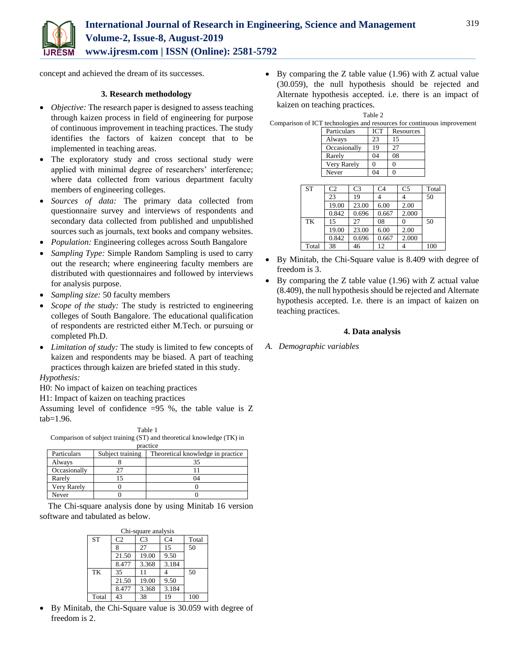

concept and achieved the dream of its successes.

### **3. Research methodology**

- *Objective:* The research paper is designed to assess teaching through kaizen process in field of engineering for purpose of continuous improvement in teaching practices. The study identifies the factors of kaizen concept that to be implemented in teaching areas.
- The exploratory study and cross sectional study were applied with minimal degree of researchers' interference; where data collected from various department faculty members of engineering colleges.
- *Sources of data:* The primary data collected from questionnaire survey and interviews of respondents and secondary data collected from published and unpublished sources such as journals, text books and company websites.
- *Population:* Engineering colleges across South Bangalore
- *Sampling Type:* Simple Random Sampling is used to carry out the research; where engineering faculty members are distributed with questionnaires and followed by interviews for analysis purpose.
- *Sampling size:* 50 faculty members
- *Scope of the study:* The study is restricted to engineering colleges of South Bangalore. The educational qualification of respondents are restricted either M.Tech. or pursuing or completed Ph.D.
- *Limitation of study:* The study is limited to few concepts of kaizen and respondents may be biased. A part of teaching practices through kaizen are briefed stated in this study.

## *Hypothesis:*

H0: No impact of kaizen on teaching practices

H1: Impact of kaizen on teaching practices

Assuming level of confidence  $=95$  %, the table value is Z  $tab=1.96.$ 

| Table 1                                                               |  |
|-----------------------------------------------------------------------|--|
| Comparison of subject training (ST) and theoretical knowledge (TK) in |  |
|                                                                       |  |

|              |                  | practice                          |
|--------------|------------------|-----------------------------------|
| Particulars  | Subject training | Theoretical knowledge in practice |
| Always       |                  |                                   |
| Occasionally |                  |                                   |
| Rarely       |                  |                                   |
| Very Rarely  |                  |                                   |
| Never        |                  |                                   |

The Chi-square analysis done by using Minitab 16 version software and tabulated as below.

|           |                | Chi-square analysis |                |       |
|-----------|----------------|---------------------|----------------|-------|
| <b>ST</b> | C <sub>2</sub> | C3                  | C <sub>4</sub> | Total |
|           | 8              | 27                  | 15             | 50    |
|           | 21.50          | 19.00               | 9.50           |       |
|           | 8.477          | 3.368               | 3.184          |       |
| TK        | 35             | 11                  |                | 50    |
|           | 21.50          | 19.00               | 9.50           |       |
|           | 8.477          | 3.368               | 3.184          |       |
| Total     | 43             | 38                  | 19             | 100   |

 By Minitab, the Chi-Square value is 30.059 with degree of freedom is 2.

 $\bullet$  By comparing the Z table value (1.96) with Z actual value (30.059), the null hypothesis should be rejected and Alternate hypothesis accepted. i.e. there is an impact of kaizen on teaching practices.

|              | Table 2    |           |                                                                         |
|--------------|------------|-----------|-------------------------------------------------------------------------|
|              |            |           | Comparison of ICT technologies and resources for continuous improvement |
| Particulars  | <b>ICT</b> | Resources |                                                                         |
| Always       | 23         |           |                                                                         |
| Occasionally | 19         |           |                                                                         |

Rarely 04 08<br>Very Rarely 0 0

Very Rarely

|           | Never          |                | 04<br>0        |                |       |
|-----------|----------------|----------------|----------------|----------------|-------|
|           |                |                |                |                |       |
| <b>ST</b> | C <sub>2</sub> | C <sub>3</sub> | C <sub>4</sub> | C <sub>5</sub> | Total |
|           | 23             | 19             |                |                | 50    |
|           | 19.00          | 23.00          | 6.00           | 2.00           |       |
|           | 0.842          | 0.696          | 0.667          | 2.000          |       |
| TK        | 15             | 27             | 08             |                | 50    |
|           | 19.00          | 23.00          | 6.00           | 2.00           |       |
|           | 0.842          | 0.696          | 0.667          | 2.000          |       |
| Total     | 38             | 46             | 12             |                | 100   |

- By Minitab, the Chi-Square value is 8.409 with degree of freedom is 3.
- By comparing the Z table value (1.96) with Z actual value (8.409), the null hypothesis should be rejected and Alternate hypothesis accepted. I.e. there is an impact of kaizen on teaching practices.

### **4. Data analysis**

*A. Demographic variables*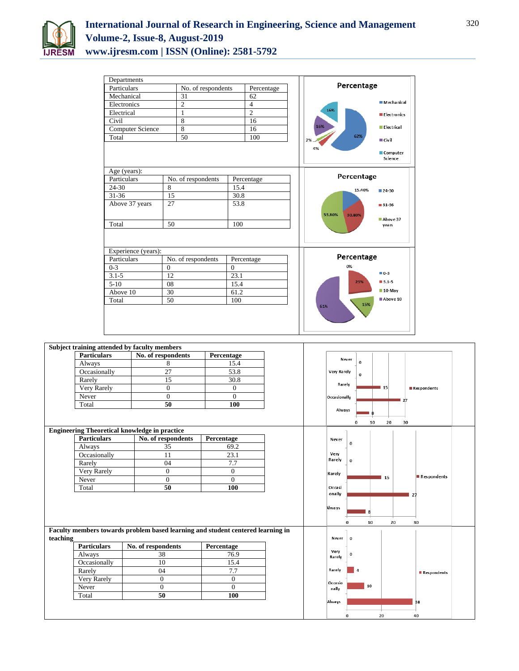

| Departments             |                    |                |                                         |
|-------------------------|--------------------|----------------|-----------------------------------------|
| Particulars             | No. of respondents | Percentage     | Percentage                              |
| Mechanical              | 31                 | 62             |                                         |
| Electronics             | $\overline{c}$     | $\overline{4}$ | <b>Mechanical</b>                       |
| Electrical              | $\mathbf{1}$       | $\overline{2}$ | 16%<br><b>Electronics</b>               |
| Civil                   | 8                  | 16             |                                         |
| <b>Computer Science</b> | 8                  | 16             | 16%<br>Electrical                       |
| Total                   | 50                 | 100            | 62%<br>$\blacksquare$ Civil<br>2%       |
|                         |                    |                | 4%<br>Computer<br>Science               |
| Age (years):            |                    |                |                                         |
| Particulars             | No. of respondents | Percentage     | Percentage                              |
| 24-30                   | 8                  | 15.4           | 15.40%<br>■ 24-30                       |
| $31 - 36$               | 15                 | 30.8           |                                         |
| Above 37 years          | 27                 | 53.8           | ■ 31-36<br>53.80%<br>30.80%<br>Above 37 |
| Total                   | 50                 | 100            | years                                   |
| Experience (years):     |                    |                |                                         |
| Particulars             | No. of respondents | Percentage     | Percentage                              |
| $0 - 3$                 | $\theta$           | $\overline{0}$ | 0%                                      |
| $3.1 - 5$               | 12                 | 23.1           | $0-3$                                   |
| $5-10$                  | 08                 | 15.4           | 23%<br>$3.1 - 5$                        |
| Above 10                | 30                 | 61.2           | $10$ -May                               |
| Total                   | 50                 | 100            | Above 10<br>15%                         |
|                         |                    |                | 61%                                     |

| <b>Particulars</b> |                                                                                 |                |                                   |
|--------------------|---------------------------------------------------------------------------------|----------------|-----------------------------------|
|                    | No. of respondents                                                              | Percentage     | Never                             |
| Always             | 8                                                                               | 15.4           | $\mathbf 0$                       |
| Occasionally       | $\overline{27}$                                                                 | 53.8           | <b>Very Rarely</b><br>$\mathbf 0$ |
| Rarely             | 15                                                                              | 30.8           | Rarely                            |
| Very Rarely        | $\boldsymbol{0}$                                                                | $\mathbf{0}$   | 15<br>Respondents                 |
| Never              | $\mathbf{0}$                                                                    | $\overline{0}$ | Occasionally<br>$\blacksquare$ 27 |
| Total              | 50                                                                              | 100            |                                   |
|                    |                                                                                 |                | Always                            |
|                    |                                                                                 |                | 20<br>30<br>10<br>0               |
|                    | <b>Engineering Theoretical knowledge in practice</b>                            |                |                                   |
| <b>Particulars</b> | No. of respondents                                                              | Percentage     | Never<br>0                        |
| Always             | 35                                                                              | 69.2           |                                   |
| Occasionally       | 11                                                                              | 23.1           | Very<br>Rarely<br>$\bf{0}$        |
| Rarely             | 04                                                                              | 7.7            |                                   |
| Very Rarely        | $\overline{0}$                                                                  | $\mathbf{0}$   | Rarely<br>Respondents             |
| Never              | $\mathbf{0}$                                                                    | $\Omega$       | 15                                |
|                    |                                                                                 |                |                                   |
| Total              | 50                                                                              | 100            | Occasi                            |
|                    |                                                                                 |                | onally<br>27                      |
|                    |                                                                                 |                |                                   |
|                    |                                                                                 |                | Always                            |
|                    |                                                                                 |                | 10<br>20<br>30<br>0               |
|                    | Faculty members towards problem based learning and student centered learning in |                |                                   |
| teaching           |                                                                                 |                | $\mathbf 0$<br>Never              |
| <b>Particulars</b> | No. of respondents                                                              | Percentage     |                                   |
| Always             | 38                                                                              | 76.9           | Very<br>0                         |
| Occasionally       | 10                                                                              | 15.4           | Rarely                            |
| Rarely             | 04                                                                              | 7.7            | Rarely<br>4<br>Respondents        |
| Very Rarely        | $\boldsymbol{0}$                                                                | $\mathbf{0}$   |                                   |
| Never              | $\mathbf{0}$                                                                    | $\mathbf{0}$   | Occasio<br>10<br>nally            |
| Total              | 50                                                                              | 100            |                                   |
|                    |                                                                                 |                | Always<br>38                      |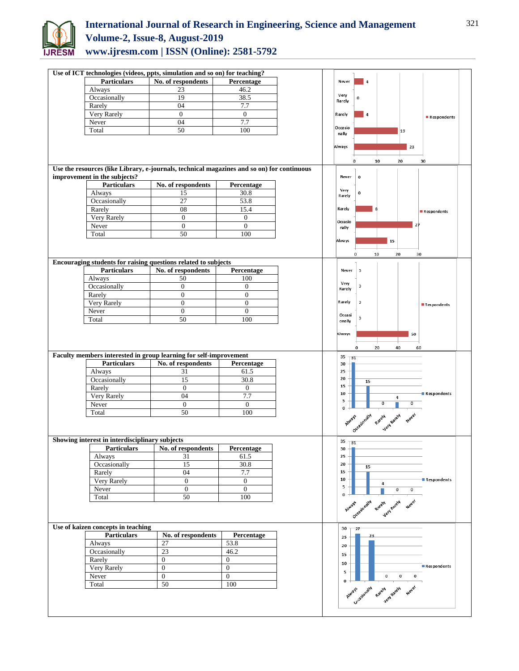

# **International Journal of Research in Engineering, Science and Management Volume-2, Issue-8, August-2019 www.ijresm.com | ISSN (Online): 2581-5792**

| Use of ICT technologies (videos, ppts, simulation and so on) for teaching? |                                                                                            |                       |           |                                          |                |                                     |             |  |
|----------------------------------------------------------------------------|--------------------------------------------------------------------------------------------|-----------------------|-----------|------------------------------------------|----------------|-------------------------------------|-------------|--|
| <b>Particulars</b>                                                         | No. of respondents                                                                         | Percentage            | Never     | $\overline{4}$                           |                |                                     |             |  |
| Always                                                                     | 23                                                                                         | 46.2                  | Very      |                                          |                |                                     |             |  |
| Occasionally                                                               | 19<br>04                                                                                   | 38.5<br>7.7           | Rarely    | 0                                        |                |                                     |             |  |
| Rarely                                                                     |                                                                                            |                       |           |                                          |                |                                     |             |  |
| Very Rarely                                                                | $\boldsymbol{0}$                                                                           | $\mathbf{0}$          | Rarely    | 4                                        |                |                                     | Respondents |  |
| Never                                                                      | 04                                                                                         | 7.7                   | Occasio   |                                          |                |                                     |             |  |
| Total                                                                      | 50                                                                                         | 100                   | nally     |                                          |                | 19                                  |             |  |
|                                                                            |                                                                                            |                       |           |                                          |                |                                     |             |  |
|                                                                            |                                                                                            |                       | Always    |                                          |                | 23                                  |             |  |
|                                                                            |                                                                                            |                       |           | 10<br>0                                  |                | 20                                  | 30          |  |
|                                                                            | Use the resources (like Library, e-journals, technical magazines and so on) for continuous |                       |           |                                          |                |                                     |             |  |
| improvement in the subjects?                                               |                                                                                            |                       | Never     | $\mathbf 0$                              |                |                                     |             |  |
| <b>Particulars</b>                                                         | No. of respondents                                                                         | Percentage            |           |                                          |                |                                     |             |  |
| Always                                                                     | 15                                                                                         | 30.8                  | Very      | 0                                        |                |                                     |             |  |
| Occasionally                                                               | 27                                                                                         | 53.8                  | Rarely    |                                          |                |                                     |             |  |
| Rarely                                                                     | 08                                                                                         | 15.4                  | Rarely    |                                          |                |                                     |             |  |
|                                                                            | $\boldsymbol{0}$                                                                           | $\boldsymbol{0}$      |           |                                          |                |                                     | Respondents |  |
| Very Rarely                                                                |                                                                                            |                       | Occasio   |                                          |                | 27                                  |             |  |
| Never                                                                      | $\boldsymbol{0}$                                                                           | $\boldsymbol{0}$      | nally     |                                          |                |                                     |             |  |
| Total                                                                      | 50                                                                                         | 100                   |           |                                          |                |                                     |             |  |
|                                                                            |                                                                                            |                       | Always    |                                          | 15             |                                     |             |  |
|                                                                            |                                                                                            |                       |           | $\mathbf 0$<br>10                        |                | 20                                  | 30          |  |
|                                                                            | Encouraging students for raising questions related to subjects                             |                       |           |                                          |                |                                     |             |  |
| <b>Particulars</b>                                                         | No. of respondents                                                                         | Percentage            | Never     | $\mathbf 0$                              |                |                                     |             |  |
| <b>Always</b>                                                              | 50                                                                                         | 100                   |           |                                          |                |                                     |             |  |
| Occasionally                                                               | $\mathbf{0}$                                                                               | $\boldsymbol{0}$      | Very      | $\mathbf 0$                              |                |                                     |             |  |
| Rarely                                                                     | $\mathbf{0}$                                                                               | $\overline{0}$        | Rarely    |                                          |                |                                     |             |  |
| Very Rarely                                                                |                                                                                            |                       | Rarely    | $\mathbf 0$                              |                |                                     |             |  |
|                                                                            | $\mathbf{0}$                                                                               | $\mathbf{0}$          |           |                                          |                |                                     | Respondents |  |
|                                                                            |                                                                                            |                       |           |                                          |                |                                     |             |  |
| Never                                                                      | $\mathbf{0}$                                                                               | $\boldsymbol{0}$      | Occasi    |                                          |                |                                     |             |  |
| Total                                                                      | 50                                                                                         | 100                   | onally    | $\pmb{0}$                                |                |                                     |             |  |
|                                                                            |                                                                                            |                       |           |                                          |                |                                     |             |  |
|                                                                            |                                                                                            |                       | Always    |                                          |                | 50                                  |             |  |
|                                                                            |                                                                                            |                       |           | $\bf{0}$                                 |                |                                     |             |  |
|                                                                            |                                                                                            |                       |           | 20                                       |                | 40                                  | 60          |  |
|                                                                            | Faculty members interested in group learning for self-improvement                          |                       | 35<br>31  |                                          |                |                                     |             |  |
| <b>Particulars</b>                                                         | No. of respondents                                                                         | Percentage            | 30<br>25  |                                          |                |                                     |             |  |
| Always                                                                     | 31                                                                                         | 61.5                  | 20        |                                          |                |                                     |             |  |
| Occasionally                                                               | 15                                                                                         | 30.8                  | 15        | 15                                       |                |                                     |             |  |
| Rarely                                                                     | $\boldsymbol{0}$                                                                           | $\mathbf{0}$          | 10        |                                          |                |                                     | Respondents |  |
| Very Rarely                                                                | 04                                                                                         | 7.7                   | 5         |                                          | 4              |                                     |             |  |
| Never                                                                      | $\boldsymbol{0}$                                                                           | $\mathbf{0}$          | $\bf{0}$  |                                          | $\overline{0}$ | 0                                   |             |  |
| Total                                                                      | 50                                                                                         | 100                   |           |                                          |                |                                     |             |  |
|                                                                            |                                                                                            |                       |           |                                          |                |                                     |             |  |
|                                                                            |                                                                                            |                       |           | Assame occasionally payely payely peelet |                |                                     |             |  |
| Showing interest in interdisciplinary subjects                             |                                                                                            |                       |           |                                          |                |                                     |             |  |
|                                                                            |                                                                                            |                       | $35 + 31$ |                                          |                |                                     |             |  |
| <b>Particulars</b>                                                         | No. of respondents                                                                         | Percentage            | 30<br>25  |                                          |                |                                     |             |  |
| Always                                                                     | 31                                                                                         | 61.5                  |           |                                          |                |                                     |             |  |
| Occasionally                                                               | 15                                                                                         | 30.8                  | 20        | 15                                       |                |                                     |             |  |
| Rarely                                                                     | 04                                                                                         | 7.7                   | 15        |                                          |                |                                     |             |  |
| Very Rarely                                                                | $\boldsymbol{0}$                                                                           | $\mathbf{0}$          | 10        |                                          | 4              |                                     | Respondents |  |
| Never                                                                      | $\boldsymbol{0}$                                                                           | $\mathbf{0}$          | 5         |                                          | 0              | 0                                   |             |  |
| Total                                                                      | 50                                                                                         | 100                   | $\bf{0}$  |                                          |                |                                     |             |  |
|                                                                            |                                                                                            |                       |           |                                          |                |                                     |             |  |
|                                                                            |                                                                                            |                       | Always    |                                          | Rately         | Never                               |             |  |
|                                                                            |                                                                                            |                       |           | OccasionalW                              | Jery Rately    |                                     |             |  |
| Use of kaizen concepts in teaching                                         |                                                                                            |                       | 30        | 27                                       |                |                                     |             |  |
| <b>Particulars</b>                                                         | No. of respondents                                                                         | Percentage            | 25        |                                          |                |                                     |             |  |
| Always                                                                     | 27                                                                                         | 53.8                  | 20        |                                          |                |                                     |             |  |
| Occasionally                                                               | 23                                                                                         | 46.2                  |           |                                          |                |                                     |             |  |
| Rarely                                                                     | $\overline{0}$                                                                             | $\mathbf{0}$          | 15        |                                          |                |                                     |             |  |
|                                                                            |                                                                                            |                       | 10        |                                          |                |                                     | Respondents |  |
| Very Rarely                                                                | $\boldsymbol{0}$                                                                           | $\boldsymbol{0}$      | 5         |                                          |                |                                     |             |  |
| Never<br>Total                                                             | $\boldsymbol{0}$<br>50                                                                     | $\overline{0}$<br>100 | $\bf{0}$  | Atwarf Occasionally Rately Rately        | 0              | $\mathbf 0$<br>$\mathbf 0$<br>Never |             |  |